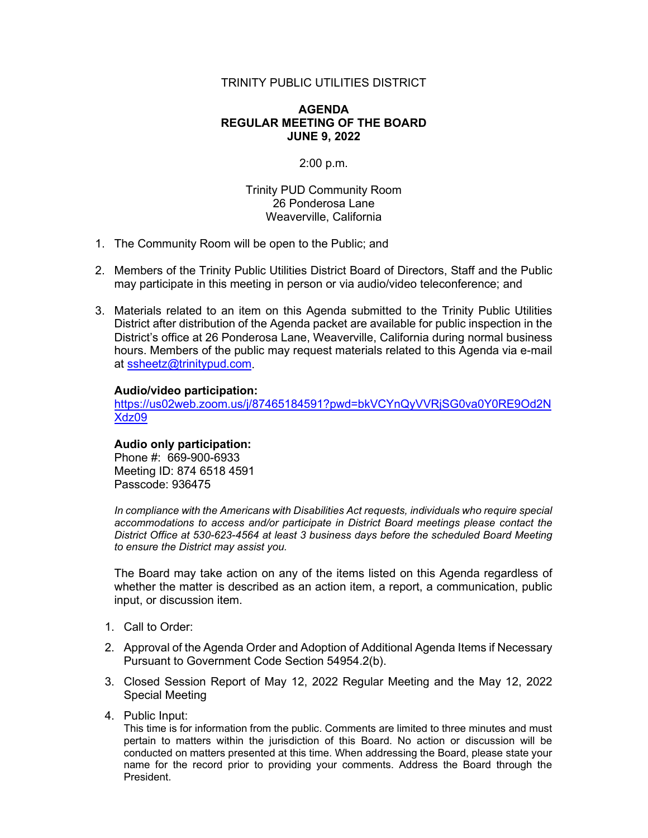### TRINITY PUBLIC UTILITIES DISTRICT

## **AGENDA REGULAR MEETING OF THE BOARD JUNE 9, 2022**

### 2:00 p.m.

Trinity PUD Community Room 26 Ponderosa Lane Weaverville, California

- 1. The Community Room will be open to the Public; and
- 2. Members of the Trinity Public Utilities District Board of Directors, Staff and the Public may participate in this meeting in person or via audio/video teleconference; and
- 3. Materials related to an item on this Agenda submitted to the Trinity Public Utilities District after distribution of the Agenda packet are available for public inspection in the District's office at 26 Ponderosa Lane, Weaverville, California during normal business hours. Members of the public may request materials related to this Agenda via e-mail at [ssheetz@trinitypud.com.](mailto:ssheetz@trinitypud.com)

### **Audio/video participation:**

[https://us02web.zoom.us/j/87465184591?pwd=bkVCYnQyVVRjSG0va0Y0RE9Od2N](https://us02web.zoom.us/j/87465184591?pwd=bkVCYnQyVVRjSG0va0Y0RE9Od2NXdz09) [Xdz09](https://us02web.zoom.us/j/87465184591?pwd=bkVCYnQyVVRjSG0va0Y0RE9Od2NXdz09)

#### **Audio only participation:**

Phone #: 669-900-6933 Meeting ID: 874 6518 4591 Passcode: 936475

*In compliance with the Americans with Disabilities Act requests, individuals who require special accommodations to access and/or participate in District Board meetings please contact the District Office at 530-623-4564 at least 3 business days before the scheduled Board Meeting to ensure the District may assist you.* 

The Board may take action on any of the items listed on this Agenda regardless of whether the matter is described as an action item, a report, a communication, public input, or discussion item.

- 1. Call to Order:
- 2. Approval of the Agenda Order and Adoption of Additional Agenda Items if Necessary Pursuant to Government Code Section 54954.2(b).
- 3. Closed Session Report of May 12, 2022 Regular Meeting and the May 12, 2022 Special Meeting
- 4. Public Input:

This time is for information from the public. Comments are limited to three minutes and must pertain to matters within the jurisdiction of this Board. No action or discussion will be conducted on matters presented at this time. When addressing the Board, please state your name for the record prior to providing your comments. Address the Board through the President.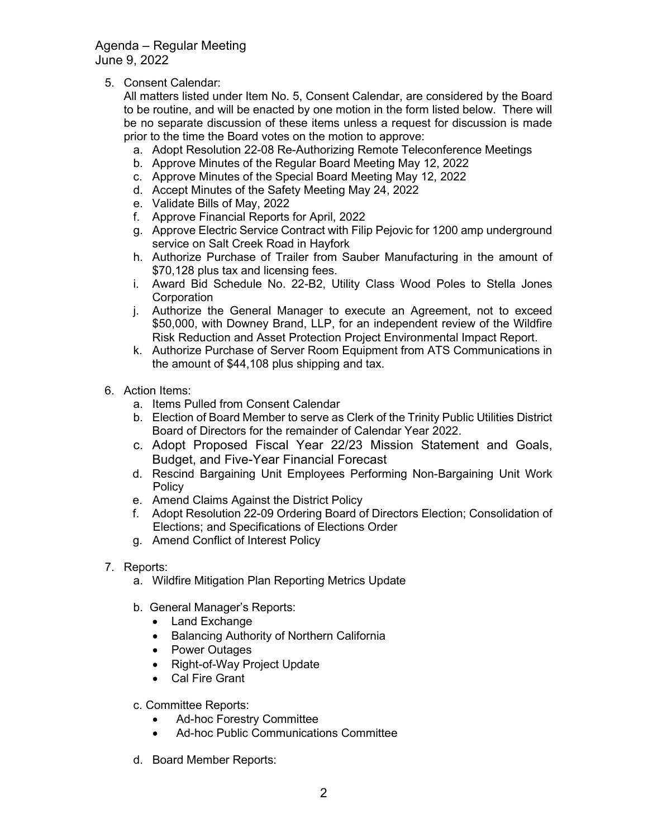Agenda – Regular Meeting June 9, 2022

5. Consent Calendar:

All matters listed under Item No. 5, Consent Calendar, are considered by the Board to be routine, and will be enacted by one motion in the form listed below. There will be no separate discussion of these items unless a request for discussion is made prior to the time the Board votes on the motion to approve:

- a. Adopt Resolution 22-08 Re-Authorizing Remote Teleconference Meetings
- b. Approve Minutes of the Regular Board Meeting May 12, 2022
- c. Approve Minutes of the Special Board Meeting May 12, 2022
- d. Accept Minutes of the Safety Meeting May 24, 2022
- e. Validate Bills of May, 2022
- f. Approve Financial Reports for April, 2022
- g. Approve Electric Service Contract with Filip Pejovic for 1200 amp underground service on Salt Creek Road in Hayfork
- h. Authorize Purchase of Trailer from Sauber Manufacturing in the amount of \$70,128 plus tax and licensing fees.
- i. Award Bid Schedule No. 22-B2, Utility Class Wood Poles to Stella Jones **Corporation**
- j. Authorize the General Manager to execute an Agreement, not to exceed \$50,000, with Downey Brand, LLP, for an independent review of the Wildfire Risk Reduction and Asset Protection Project Environmental Impact Report.
- k. Authorize Purchase of Server Room Equipment from ATS Communications in the amount of \$44,108 plus shipping and tax.
- 6. Action Items:
	- a. Items Pulled from Consent Calendar
	- b. Election of Board Member to serve as Clerk of the Trinity Public Utilities District Board of Directors for the remainder of Calendar Year 2022.
	- c. Adopt Proposed Fiscal Year 22/23 Mission Statement and Goals, Budget, and Five-Year Financial Forecast
	- d. Rescind Bargaining Unit Employees Performing Non-Bargaining Unit Work Policy
	- e. Amend Claims Against the District Policy
	- f. Adopt Resolution 22-09 Ordering Board of Directors Election; Consolidation of Elections; and Specifications of Elections Order
	- g. Amend Conflict of Interest Policy
- 7. Reports:
	- a. Wildfire Mitigation Plan Reporting Metrics Update
	- b. General Manager's Reports:
		- Land Exchange
		- Balancing Authority of Northern California
		- Power Outages
		- Right-of-Way Project Update
		- Cal Fire Grant
	- c. Committee Reports:
		- Ad-hoc Forestry Committee
		- Ad-hoc Public Communications Committee
	- d. Board Member Reports: